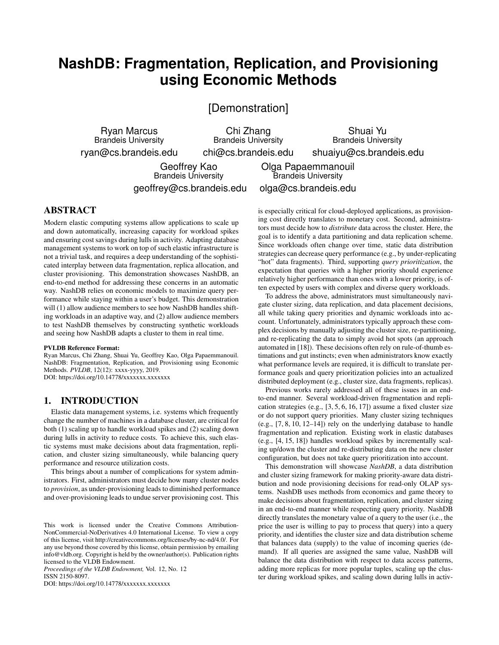# **NashDB: Fragmentation, Replication, and Provisioning using Economic Methods**

[Demonstration]

Ryan Marcus Brandeis University ryan@cs.brandeis.edu

Chi Zhang Brandeis University chi@cs.brandeis.edu

Shuai Yu Brandeis University shuaiyu@cs.brandeis.edu

Geoffrey Kao Brandeis University geoffrey@cs.brandeis.edu

Olga Papaemmanouil Brandeis University olga@cs.brandeis.edu

# ABSTRACT

Modern elastic computing systems allow applications to scale up and down automatically, increasing capacity for workload spikes and ensuring cost savings during lulls in activity. Adapting database management systems to work on top of such elastic infrastructure is not a trivial task, and requires a deep understanding of the sophisticated interplay between data fragmentation, replica allocation, and cluster provisioning. This demonstration showcases NashDB, an end-to-end method for addressing these concerns in an automatic way. NashDB relies on economic models to maximize query performance while staying within a user's budget. This demonstration will (1) allow audience members to see how NashDB handles shifting workloads in an adaptive way, and (2) allow audience members to test NashDB themselves by constructing synthetic workloads and seeing how NashDB adapts a cluster to them in real time.

#### PVLDB Reference Format:

Ryan Marcus, Chi Zhang, Shuai Yu, Geoffrey Kao, Olga Papaemmanouil. NashDB: Fragmentation, Replication, and Provisioning using Economic Methods. *PVLDB*, 12(12): xxxx-yyyy, 2019. DOI: https://doi.org/10.14778/xxxxxxx.xxxxxxx

# 1. INTRODUCTION

Elastic data management systems, i.e. systems which frequently change the number of machines in a database cluster, are critical for both (1) scaling up to handle workload spikes and (2) scaling down during lulls in activity to reduce costs. To achieve this, such elastic systems must make decisions about data fragmentation, replication, and cluster sizing simultaneously, while balancing query performance and resource utilization costs.

This brings about a number of complications for system administrators. First, administrators must decide how many cluster nodes to *provision*, as under-provisioning leads to diminished performance and over-provisioning leads to undue server provisioning cost. This

*Proceedings of the VLDB Endowment,* Vol. 12, No. 12 ISSN 2150-8097.

DOI: https://doi.org/10.14778/xxxxxxx.xxxxxxx

is especially critical for cloud-deployed applications, as provisioning cost directly translates to monetary cost. Second, administrators must decide how to *distribute* data across the cluster. Here, the goal is to identify a data partitioning and data replication scheme. Since workloads often change over time, static data distribution strategies can decrease query performance (e.g., by under-replicating "hot" data fragments). Third, supporting *query prioritization*, the expectation that queries with a higher priority should experience relatively higher performance than ones with a lower priority, is often expected by users with complex and diverse query workloads.

To address the above, administrators must simultaneously navigate cluster sizing, data replication, and data placement decisions, all while taking query priorities and dynamic workloads into account. Unfortunately, administrators typically approach these complex decisions by manually adjusting the cluster size, re-partitioning, and re-replicating the data to simply avoid hot spots (an approach automated in [18]). These decisions often rely on rule-of-thumb estimations and gut instincts; even when administrators know exactly what performance levels are required, it is difficult to translate performance goals and query prioritization policies into an actualized distributed deployment (e.g., cluster size, data fragments, replicas).

Previous works rarely addressed all of these issues in an endto-end manner. Several workload-driven fragmentation and replication strategies (e.g., [3, 5, 6, 16, 17]) assume a fixed cluster size or do not support query priorities. Many cluster sizing techniques (e.g., [7, 8, 10, 12–14]) rely on the underlying database to handle fragmentation and replication. Existing work in elastic databases (e.g., [4, 15, 18]) handles workload spikes by incrementally scaling up/down the cluster and re-distributing data on the new cluster configuration, but does not take query prioritization into account.

This demonstration will showcase *NashDB*, a data distribution and cluster sizing framework for making priority-aware data distribution and node provisioning decisions for read-only OLAP systems. NashDB uses methods from economics and game theory to make decisions about fragmentation, replication, and cluster sizing in an end-to-end manner while respecting query priority. NashDB directly translates the monetary value of a query to the user (i.e., the price the user is willing to pay to process that query) into a query priority, and identifies the cluster size and data distribution scheme that balances data (supply) to the value of incoming queries (demand). If all queries are assigned the same value, NashDB will balance the data distribution with respect to data access patterns, adding more replicas for more popular tuples, scaling up the cluster during workload spikes, and scaling down during lulls in activ-

This work is licensed under the Creative Commons Attribution-NonCommercial-NoDerivatives 4.0 International License. To view a copy of this license, visit http://creativecommons.org/licenses/by-nc-nd/4.0/. For any use beyond those covered by this license, obtain permission by emailing info@vldb.org. Copyright is held by the owner/author(s). Publication rights licensed to the VLDB Endowment.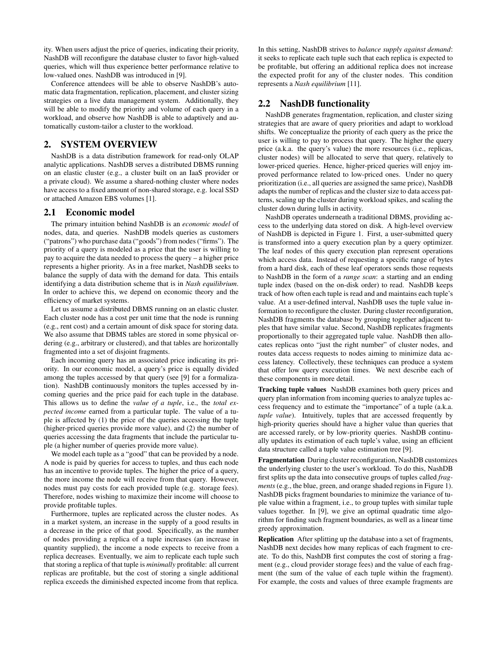ity. When users adjust the price of queries, indicating their priority, NashDB will reconfigure the database cluster to favor high-valued queries, which will thus experience better performance relative to low-valued ones. NashDB was introduced in [9].

Conference attendees will be able to observe NashDB's automatic data fragmentation, replication, placement, and cluster sizing strategies on a live data management system. Additionally, they will be able to modify the priority and volume of each query in a workload, and observe how NashDB is able to adaptively and automatically custom-tailor a cluster to the workload.

# 2. SYSTEM OVERVIEW

NashDB is a data distribution framework for read-only OLAP analytic applications. NashDB serves a distributed DBMS running on an elastic cluster (e.g., a cluster built on an IaaS provider or a private cloud). We assume a shared-nothing cluster where nodes have access to a fixed amount of non-shared storage, e.g. local SSD or attached Amazon EBS volumes [1].

#### 2.1 Economic model

The primary intuition behind NashDB is an *economic model* of nodes, data, and queries. NashDB models queries as customers ("patrons") who purchase data ("goods") from nodes ("firms"). The priority of a query is modeled as a price that the user is willing to pay to acquire the data needed to process the query – a higher price represents a higher priority. As in a free market, NashDB seeks to balance the supply of data with the demand for data. This entails identifying a data distribution scheme that is in *Nash equilibrium*. In order to achieve this, we depend on economic theory and the efficiency of market systems.

Let us assume a distributed DBMS running on an elastic cluster. Each cluster node has a cost per unit time that the node is running (e.g., rent cost) and a certain amount of disk space for storing data. We also assume that DBMS tables are stored in some physical ordering (e.g., arbitrary or clustered), and that tables are horizontally fragmented into a set of disjoint fragments.

Each incoming query has an associated price indicating its priority. In our economic model, a query's price is equally divided among the tuples accessed by that query (see [9] for a formalization). NashDB continuously monitors the tuples accessed by incoming queries and the price paid for each tuple in the database. This allows us to define the *value of a tuple*, i.e., the *total expected income* earned from a particular tuple. The value of a tuple is affected by (1) the price of the queries accessing the tuple (higher-priced queries provide more value), and (2) the number of queries accessing the data fragments that include the particular tuple (a higher number of queries provide more value).

We model each tuple as a "good" that can be provided by a node. A node is paid by queries for access to tuples, and thus each node has an incentive to provide tuples. The higher the price of a query, the more income the node will receive from that query. However, nodes must pay costs for each provided tuple (e.g. storage fees). Therefore, nodes wishing to maximize their income will choose to provide profitable tuples.

Furthermore, tuples are replicated across the cluster nodes. As in a market system, an increase in the supply of a good results in a decrease in the price of that good. Specifically, as the number of nodes providing a replica of a tuple increases (an increase in quantity supplied), the income a node expects to receive from a replica decreases. Eventually, we aim to replicate each tuple such that storing a replica of that tuple is *minimally* profitable: all current replicas are profitable, but the cost of storing a single additional replica exceeds the diminished expected income from that replica.

In this setting, NashDB strives to *balance supply against demand*: it seeks to replicate each tuple such that each replica is expected to be profitable, but offering an additional replica does not increase the expected profit for any of the cluster nodes. This condition represents a *Nash equilibrium* [11].

# 2.2 NashDB functionality

NashDB generates fragmentation, replication, and cluster sizing strategies that are aware of query priorities and adapt to workload shifts. We conceptualize the priority of each query as the price the user is willing to pay to process that query. The higher the query price (a.k.a. the query's value) the more resources (i.e., replicas, cluster nodes) will be allocated to serve that query, relatively to lower-priced queries. Hence, higher-priced queries will enjoy improved performance related to low-priced ones. Under no query prioritization (i.e., all queries are assigned the same price), NashDB adapts the number of replicas and the cluster size to data access patterns, scaling up the cluster during workload spikes, and scaling the cluster down during lulls in activity.

NashDB operates underneath a traditional DBMS, providing access to the underlying data stored on disk. A high-level overview of NashDB is depicted in Figure 1. First, a user-submitted query is transformed into a query execution plan by a query optimizer. The leaf nodes of this query execution plan represent operations which access data. Instead of requesting a specific range of bytes from a hard disk, each of these leaf operators sends those requests to NashDB in the form of a *range scan*: a starting and an ending tuple index (based on the on-disk order) to read. NashDB keeps track of how often each tuple is read and and maintains each tuple's value. At a user-defined interval, NashDB uses the tuple value information to reconfigure the cluster. During cluster reconfiguration, NashDB fragments the database by grouping together adjacent tuples that have similar value. Second, NashDB replicates fragments proportionally to their aggregated tuple value. NashDB then allocates replicas onto "just the right number" of cluster nodes, and routes data access requests to nodes aiming to minimize data access latency. Collectively, these techniques can produce a system that offer low query execution times. We next describe each of these components in more detail.

Tracking tuple values NashDB examines both query prices and query plan information from incoming queries to analyze tuples access frequency and to estimate the "importance" of a tuple (a.k.a. *tuple value*). Intuitively, tuples that are accessed frequently by high-priority queries should have a higher value than queries that are accessed rarely, or by low-priority queries. NashDB continually updates its estimation of each tuple's value, using an efficient data structure called a tuple value estimation tree [9].

Fragmentation During cluster reconfiguration, NashDB customizes the underlying cluster to the user's workload. To do this, NashDB first splits up the data into consecutive groups of tuples called *fragments* (e.g., the blue, green, and orange shaded regions in Figure 1). NashDB picks fragment boundaries to minimize the variance of tuple value within a fragment, i.e., to group tuples with similar tuple values together. In [9], we give an optimal quadratic time algorithm for finding such fragment boundaries, as well as a linear time greedy approximation.

Replication After splitting up the database into a set of fragments, NashDB next decides how many replicas of each fragment to create. To do this, NashDB first computes the cost of storing a fragment (e.g., cloud provider storage fees) and the value of each fragment (the sum of the value of each tuple within the fragment). For example, the costs and values of three example fragments are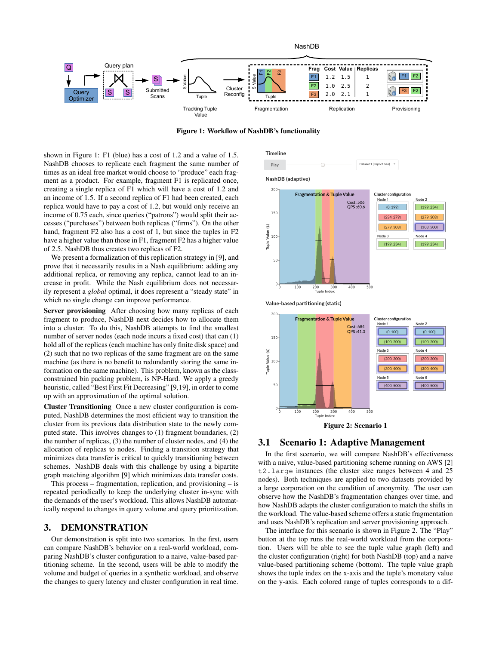

Figure 1: Workflow of NashDB's functionality

shown in Figure 1: F1 (blue) has a cost of 1.2 and a value of 1.5. NashDB chooses to replicate each fragment the same number of times as an ideal free market would choose to "produce" each fragment as a product. For example, fragment F1 is replicated once, creating a single replica of F1 which will have a cost of 1.2 and an income of 1.5. If a second replica of F1 had been created, each replica would have to pay a cost of 1.2, but would only receive an income of 0.75 each, since queries ("patrons") would split their accesses ("purchases") between both replicas ("firms"). On the other hand, fragment F2 also has a cost of 1, but since the tuples in F2 have a higher value than those in F1, fragment F2 has a higher value of 2.5. NashDB thus creates two replicas of F2.

We present a formalization of this replication strategy in [9], and prove that it necessarily results in a Nash equilibrium: adding any additional replica, or removing any replica, cannot lead to an increase in profit. While the Nash equilibrium does not necessarily represent a *global* optimal, it does represent a "steady state" in which no single change can improve performance.

Server provisioning After choosing how many replicas of each fragment to produce, NashDB next decides how to allocate them into a cluster. To do this, NashDB attempts to find the smallest number of server nodes (each node incurs a fixed cost) that can (1) hold all of the replicas (each machine has only finite disk space) and (2) such that no two replicas of the same fragment are on the same machine (as there is no benefit to redundantly storing the same information on the same machine). This problem, known as the classconstrained bin packing problem, is NP-Hard. We apply a greedy heuristic, called "Best First Fit Decreasing" [9,19], in order to come up with an approximation of the optimal solution.

Cluster Transitioning Once a new cluster configuration is computed, NashDB determines the most efficient way to transition the cluster from its previous data distribution state to the newly computed state. This involves changes to (1) fragment boundaries, (2) the number of replicas, (3) the number of cluster nodes, and (4) the allocation of replicas to nodes. Finding a transition strategy that minimizes data transfer is critical to quickly transitioning between schemes. NashDB deals with this challenge by using a bipartite graph matching algorithm [9] which minimizes data transfer costs.

This process – fragmentation, replication, and provisioning – is repeated periodically to keep the underlying cluster in-sync with the demands of the user's workload. This allows NashDB automatically respond to changes in query volume and query prioritization.

# 3. DEMONSTRATION

Our demonstration is split into two scenarios. In the first, users can compare NashDB's behavior on a real-world workload, comparing NashDB's cluster configuration to a naive, value-based partitioning scheme. In the second, users will be able to modify the volume and budget of queries in a synthetic workload, and observe the changes to query latency and cluster configuration in real time.





 $400$ 

500

Value-based partitioning (static)

200 - 20<br>Tuple Index 30

 $100$ 



### 3.1 Scenario 1: Adaptive Management

In the first scenario, we will compare NashDB's effectiveness with a naive, value-based partitioning scheme running on AWS [2] t2.large instances (the cluster size ranges between 4 and 25 nodes). Both techniques are applied to two datasets provided by a large corporation on the condition of anonymity. The user can observe how the NashDB's fragmentation changes over time, and how NashDB adapts the cluster configuration to match the shifts in the workload. The value-based scheme offers a static fragmentation and uses NashDB's replication and server provisioning approach.

The interface for this scenario is shown in Figure 2. The "Play" button at the top runs the real-world workload from the corporation. Users will be able to see the tuple value graph (left) and the cluster configuration (right) for both NashDB (top) and a naive value-based partitioning scheme (bottom). The tuple value graph shows the tuple index on the x-axis and the tuple's monetary value on the y-axis. Each colored range of tuples corresponds to a dif